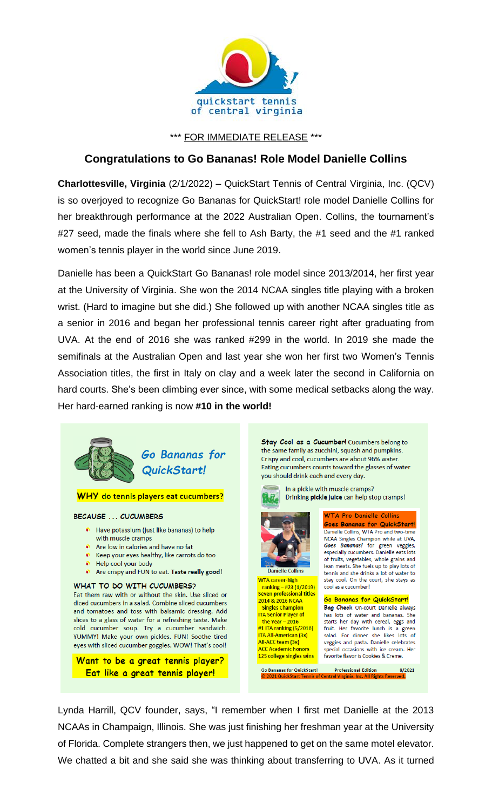

\*\*\* FOR IMMEDIATE RELEASE \*\*\*

## **Congratulations to Go Bananas! Role Model Danielle Collins**

**Charlottesville, Virginia** (2/1/2022) – QuickStart Tennis of Central Virginia, Inc. (QCV) is so overjoyed to recognize Go Bananas for QuickStart! role model Danielle Collins for her breakthrough performance at the 2022 Australian Open. Collins, the tournament's #27 seed, made the finals where she fell to Ash Barty, the #1 seed and the #1 ranked women's tennis player in the world since June 2019.

Danielle has been a QuickStart Go Bananas! role model since 2013/2014, her first year at the University of Virginia. She won the 2014 NCAA singles title playing with a broken wrist. (Hard to imagine but she did.) She followed up with another NCAA singles title as a senior in 2016 and began her professional tennis career right after graduating from UVA. At the end of 2016 she was ranked #299 in the world. In 2019 she made the semifinals at the Australian Open and last year she won her first two Women's Tennis Association titles, the first in Italy on clay and a week later the second in California on hard courts. She's been climbing ever since, with some medical setbacks along the way. Her hard-earned ranking is now **#10 in the world!**



Lynda Harrill, QCV founder, says, "I remember when I first met Danielle at the 2013 NCAAs in Champaign, Illinois. She was just finishing her freshman year at the University of Florida. Complete strangers then, we just happened to get on the same motel elevator. We chatted a bit and she said she was thinking about transferring to UVA. As it turned